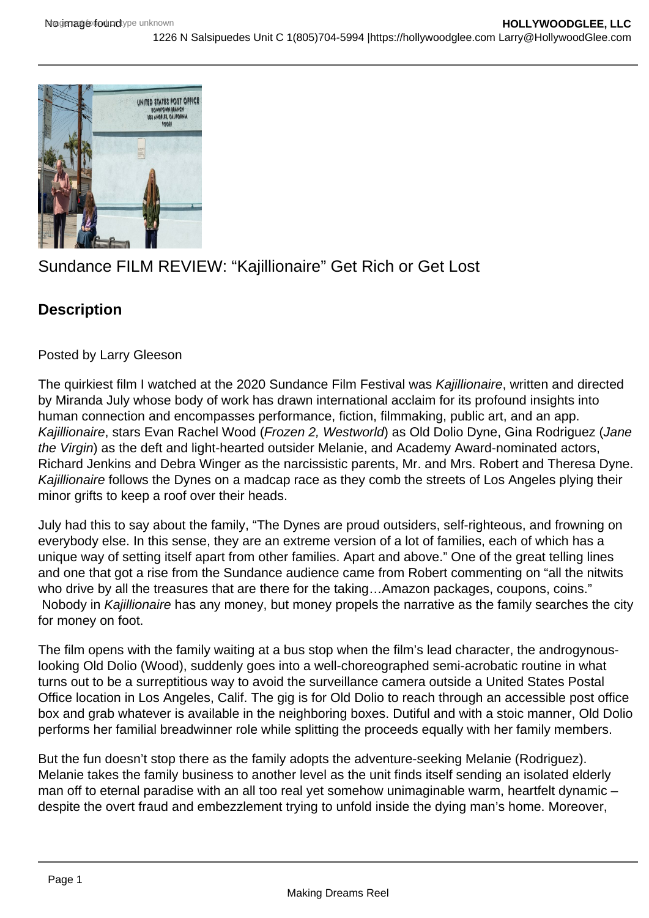

## Sundance FILM REVIEW: "Kajillionaire" Get Rich or Get Lost

## **Description**

Posted by Larry Gleeson

The quirkiest film I watched at the 2020 Sundance Film Festival was Kajillionaire, written and directed by Miranda July whose body of work has drawn international acclaim for its profound insights into human connection and encompasses performance, fiction, filmmaking, public art, and an app. Kajillionaire, stars Evan Rachel Wood (Frozen 2, Westworld) as Old Dolio Dyne, Gina Rodriguez (Jane the Virgin) as the deft and light-hearted outsider Melanie, and Academy Award-nominated actors, Richard Jenkins and Debra Winger as the narcissistic parents, Mr. and Mrs. Robert and Theresa Dyne. Kajillionaire follows the Dynes on a madcap race as they comb the streets of Los Angeles plying their minor grifts to keep a roof over their heads.

July had this to say about the family, "The Dynes are proud outsiders, self-righteous, and frowning on everybody else. In this sense, they are an extreme version of a lot of families, each of which has a unique way of setting itself apart from other families. Apart and above." One of the great telling lines and one that got a rise from the Sundance audience came from Robert commenting on "all the nitwits who drive by all the treasures that are there for the taking...Amazon packages, coupons, coins." Nobody in Kajillionaire has any money, but money propels the narrative as the family searches the city for money on foot.

The film opens with the family waiting at a bus stop when the film's lead character, the androgynouslooking Old Dolio (Wood), suddenly goes into a well-choreographed semi-acrobatic routine in what turns out to be a surreptitious way to avoid the surveillance camera outside a United States Postal Office location in Los Angeles, Calif. The gig is for Old Dolio to reach through an accessible post office box and grab whatever is available in the neighboring boxes. Dutiful and with a stoic manner, Old Dolio performs her familial breadwinner role while splitting the proceeds equally with her family members.

But the fun doesn't stop there as the family adopts the adventure-seeking Melanie (Rodriguez). Melanie takes the family business to another level as the unit finds itself sending an isolated elderly man off to eternal paradise with an all too real yet somehow unimaginable warm, heartfelt dynamic despite the overt fraud and embezzlement trying to unfold inside the dying man's home. Moreover,